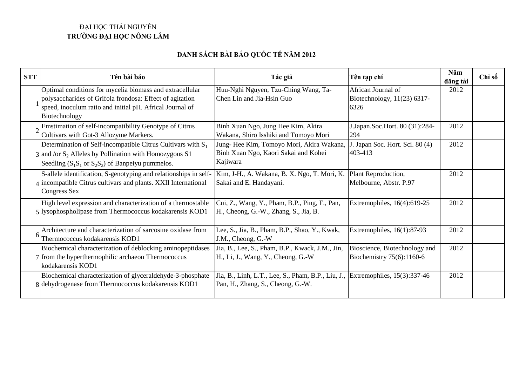## ĐẠI HỌC THÁI NGUYÊN **TRƯỜNG ĐẠI HỌC NÔNG LÂM**

## **DANH SÁCH BÀI BÁO QUỐC TẾ NĂM 2012**

| <b>STT</b> | Tên bài báo                                                                                                                                                                                             | Tác giả                                                                                      | Tên tạp chí                                                | Năm<br>dăng tải | Chỉ số |
|------------|---------------------------------------------------------------------------------------------------------------------------------------------------------------------------------------------------------|----------------------------------------------------------------------------------------------|------------------------------------------------------------|-----------------|--------|
|            | Optimal conditions for mycelia biomass and extracellular<br>polysaccharides of Grifola frondosa: Effect of agitation<br>speed, inoculum ratio and initial pH. Africal Journal of<br>Biotechnology       | Huu-Nghi Nguyen, Tzu-Ching Wang, Ta-<br>Chen Lin and Jia-Hsin Guo                            | African Journal of<br>Biotechnology, 11(23) 6317-<br>6326  | 2012            |        |
|            | Emstimation of self-incompatibility Genotype of Citrus<br>Cultivars with Got-3 Allozyme Markers.                                                                                                        | Binh Xuan Ngo, Jung Hee Kim, Akira<br>Wakana, Shiro Isshiki and Tomoyo Mori                  | J.Japan.Soc.Hort. 80 (31):284-<br>294                      | 2012            |        |
|            | Determination of Self-incompatible Citrus Cultivars with $S_1$<br>$3$ and /or S <sub>2</sub> Alleles by Pollination with Homozygous S1<br>Seedling $(S_1S_1$ or $S_2S_2)$ of Banpeiyu pummelos.         | Jung-Hee Kim, Tomoyo Mori, Akira Wakana,<br>Binh Xuan Ngo, Kaori Sakai and Kohei<br>Kajiwara | J. Japan Soc. Hort. Sci. 80 (4)<br>403-413                 | 2012            |        |
|            | S-allele identification, S-genotyping and relationships in self-  Kim, J-H., A. Wakana, B. X. Ngo, T. Mori, K.<br>4 incompatible Citrus cultivars and plants. XXII International<br><b>Congress Sex</b> | Sakai and E. Handayani.                                                                      | Plant Reproduction,<br>Melbourne, Abstr. P.97              | 2012            |        |
|            | High level expression and characterization of a thermostable<br>5 lysophospholipase from Thermococcus kodakarensis KOD1                                                                                 | Cui, Z., Wang, Y., Pham, B.P., Ping, F., Pan,<br>H., Cheong, G.-W., Zhang, S., Jia, B.       | Extremophiles, 16(4):619-25                                | 2012            |        |
|            | Architecture and characterization of sarcosine oxidase from<br>Thermococcus kodakarensis KOD1                                                                                                           | Lee, S., Jia, B., Pham, B.P., Shao, Y., Kwak,<br>J.M., Cheong, G.-W                          | Extremophiles, $16(1):87-93$                               | 2012            |        |
|            | Biochemical characterization of deblocking aminopeptidases<br>7 from the hyperthermophilic archaeon Thermococcus<br>kodakarensis KOD1                                                                   | Jia, B., Lee, S., Pham, B.P., Kwack, J.M., Jin,<br>H., Li, J., Wang, Y., Cheong, G.-W        | Bioscience, Biotechnology and<br>Biochemistry 75(6):1160-6 | 2012            |        |
|            | Biochemical characterization of glyceraldehyde-3-phosphate<br>8 dehydrogenase from Thermococcus kodakarensis KOD1                                                                                       | Jia, B., Linh, L.T., Lee, S., Pham, B.P., Liu, J.,<br>Pan, H., Zhang, S., Cheong, G.-W.      | Extremophiles, $15(3):337-46$                              | 2012            |        |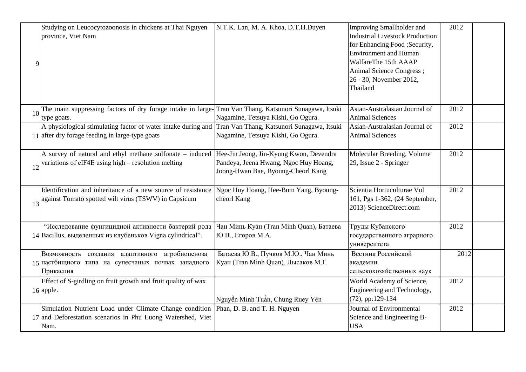| province, Viet Nam<br>$\overline{9}$                            | Studying on Leucocytozoonosis in chickens at Thai Nguyen                                                               | N.T.K. Lan, M. A. Khoa, D.T.H.Duyen                                                                                                            | Improving Smallholder and<br><b>Industrial Livestock Production</b><br>for Enhancing Food ; Security,<br><b>Environment</b> and Human<br>WalfareThe 15th AAAP<br>Animal Science Congress;<br>26 - 30, November 2012,<br>Thailand | 2012 |
|-----------------------------------------------------------------|------------------------------------------------------------------------------------------------------------------------|------------------------------------------------------------------------------------------------------------------------------------------------|----------------------------------------------------------------------------------------------------------------------------------------------------------------------------------------------------------------------------------|------|
| 10<br>type goats.                                               |                                                                                                                        | The main suppressing factors of dry forage intake in large-Tran Van Thang, Katsunori Sunagawa, Itsuki<br>Nagamine, Tetsuya Kishi, Go Ogura.    | Asian-Australasian Journal of<br><b>Animal Sciences</b>                                                                                                                                                                          | 2012 |
| 11 after dry forage feeding in large-type goats                 |                                                                                                                        | A physiological stimulating factor of water intake during and Tran Van Thang, Katsunori Sunagawa, Itsuki<br>Nagamine, Tetsuya Kishi, Go Ogura. | Asian-Australasian Journal of<br><b>Animal Sciences</b>                                                                                                                                                                          | 2012 |
| variations of eIF4E using high - resolution melting<br>12       | A survey of natural and ethyl methane sulfonate - induced                                                              | Hee-Jin Jeong, Jin-Kyung Kwon, Devendra<br>Pandeya, Jeena Hwang, Ngoc Huy Hoang,<br>Joong-Hwan Bae, Byoung-Cheorl Kang                         | Molecular Breeding, Volume<br>29, Issue 2 - Springer                                                                                                                                                                             | 2012 |
| 13 against Tomato spotted wilt virus (TSWV) in Capsicum         | Identification and inheritance of a new source of resistance                                                           | Ngoc Huy Hoang, Hee-Bum Yang, Byoung-<br>cheorl Kang                                                                                           | Scientia Hortuculturae Vol<br>161, Pgs 1-362, (24 September,<br>2013) ScienceDirect.com                                                                                                                                          | 2012 |
| 14 Bacillus, выделенных из клубеньков Vigna cylindrical".       | "Исследование фунгицидной активности бактерий рода                                                                     | Чан Минь Куан (Tran Minh Quan), Батаева<br>Ю.В., Егоров М.А.                                                                                   | Труды Кубанского<br>государственного аграрного<br>университета                                                                                                                                                                   | 2012 |
| 15 пастбищного типа на супесчаных почвах западного<br>Прикаспия | Возможность создания адаптивного агробиоценоза                                                                         | Батаева Ю.В., Пучков М.Ю., Чан Минь<br>Куан (Tran Minh Quan), Лысаков М.Г.                                                                     | Вестник Российской<br>академии<br>сельскохозяйственных наук                                                                                                                                                                      | 2012 |
| 16 apple.                                                       | Effect of S-girdling on fruit growth and fruit quality of wax                                                          | Nguyễn Minh Tuấn, Chung Ruey Yên                                                                                                               | World Academy of Science,<br>Engineering and Technology,<br>(72), pp:129-134                                                                                                                                                     | 2012 |
| Nam.                                                            | Simulation Nutrient Load under Climate Change condition<br>17 and Deforestation scenarios in Phu Luong Watershed, Viet | Phan, D. B. and T. H. Nguyen                                                                                                                   | Journal of Environmental<br>Science and Engineering B-<br><b>USA</b>                                                                                                                                                             | 2012 |